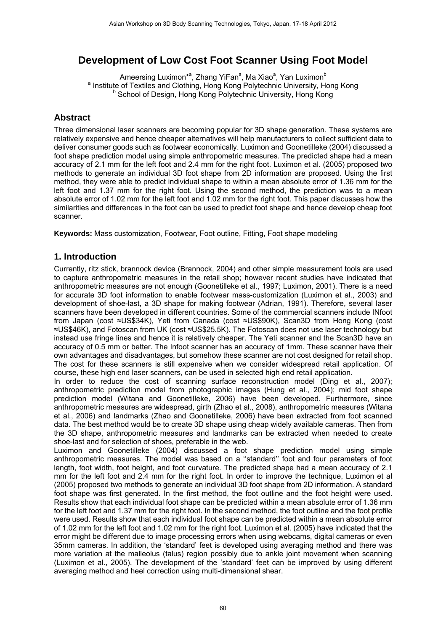# **Development of Low Cost Foot Scanner Using Foot Model**

Ameersing Luximon\*<sup>a</sup>, Zhang YiFan<sup>a</sup>, Ma Xiao<sup>a</sup>, Yan Luximon<sup>b</sup> a Institute of Textiles and Clothing, Hong Kong Polytechnic University, Hong Kong<br>b Sebeck of Decise Hong Kong Polytechnic University, Hong Kong <sup>b</sup> School of Design, Hong Kong Polytechnic University, Hong Kong

# **Abstract**

Three dimensional laser scanners are becoming popular for 3D shape generation. These systems are relatively expensive and hence cheaper alternatives will help manufacturers to collect sufficient data to deliver consumer goods such as footwear economically. Luximon and Goonetilleke (2004) discussed a foot shape prediction model using simple anthropometric measures. The predicted shape had a mean accuracy of 2.1 mm for the left foot and 2.4 mm for the right foot. Luximon et al. (2005) proposed two methods to generate an individual 3D foot shape from 2D information are proposed. Using the first method, they were able to predict individual shape to within a mean absolute error of 1.36 mm for the left foot and 1.37 mm for the right foot. Using the second method, the prediction was to a mean absolute error of 1.02 mm for the left foot and 1.02 mm for the right foot. This paper discusses how the similarities and differences in the foot can be used to predict foot shape and hence develop cheap foot scanner.

**Keywords:** Mass customization, Footwear, Foot outline, Fitting, Foot shape modeling

# **1. Introduction**

Currently, ritz stick, brannock device (Brannock, 2004) and other simple measurement tools are used to capture anthropometric measures in the retail shop; however recent studies have indicated that anthropometric measures are not enough (Goonetilleke et al., 1997; Luximon, 2001). There is a need for accurate 3D foot information to enable footwear mass-customization (Luximon et al., 2003) and development of shoe-last, a 3D shape for making footwear (Adrian, 1991). Therefore, several laser scanners have been developed in different countries. Some of the commercial scanners include INfoot from Japan (cost ≈US\$34K), Yeti from Canada (cost ≈US\$90K), Scan3D from Hong Kong (cost ≈US\$46K), and Fotoscan from UK (cost ≈US\$25.5K). The Fotoscan does not use laser technology but instead use fringe lines and hence it is relatively cheaper. The Yeti scanner and the Scan3D have an accuracy of 0.5 mm or better. The Infoot scanner has an accuracy of 1mm. These scanner have their own advantages and disadvantages, but somehow these scanner are not cost designed for retail shop. The cost for these scanners is still expensive when we consider widespread retail application. Of course, these high end laser scanners, can be used in selected high end retail application.

In order to reduce the cost of scanning surface reconstruction model (Ding et al., 2007); anthropometric prediction model from photographic images (Hung et al., 2004); mid foot shape prediction model (Witana and Goonetilleke, 2006) have been developed. Furthermore, since anthropometric measures are widespread, girth (Zhao et al., 2008), anthropometric measures (Witana et al., 2006) and landmarks (Zhao and Goonetilleke, 2006) have been extracted from foot scanned data. The best method would be to create 3D shape using cheap widely available cameras. Then from the 3D shape, anthropometric measures and landmarks can be extracted when needed to create shoe-last and for selection of shoes, preferable in the web.

Luximon and Goonetilleke (2004) discussed a foot shape prediction model using simple anthropometric measures. The model was based on a ''standard'' foot and four parameters of foot length, foot width, foot height, and foot curvature. The predicted shape had a mean accuracy of 2.1 mm for the left foot and 2.4 mm for the right foot. In order to improve the technique, Luximon et al (2005) proposed two methods to generate an individual 3D foot shape from 2D information. A standard foot shape was first generated. In the first method, the foot outline and the foot height were used. Results show that each individual foot shape can be predicted within a mean absolute error of 1.36 mm for the left foot and 1.37 mm for the right foot. In the second method, the foot outline and the foot profile were used. Results show that each individual foot shape can be predicted within a mean absolute error of 1.02 mm for the left foot and 1.02 mm for the right foot. Luximon et al. (2005) have indicated that the error might be different due to image processing errors when using webcams, digital cameras or even 35mm cameras. In addition, the 'standard' feet is developed using averaging method and there was more variation at the malleolus (talus) region possibly due to ankle joint movement when scanning (Luximon et al., 2005). The development of the 'standard' feet can be improved by using different averaging method and heel correction using multi-dimensional shear.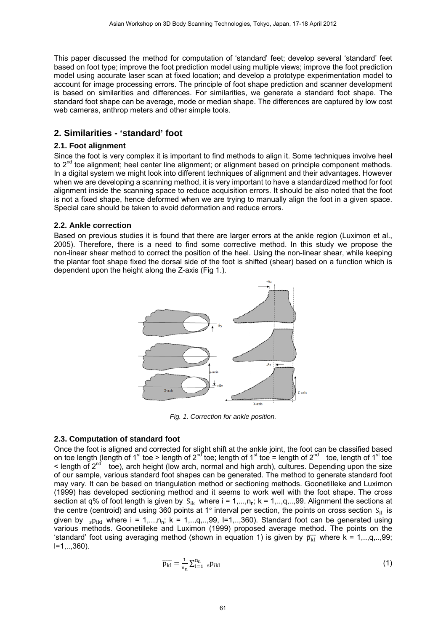This paper discussed the method for computation of 'standard' feet; develop several 'standard' feet based on foot type; improve the foot prediction model using multiple views; improve the foot prediction model using accurate laser scan at fixed location; and develop a prototype experimentation model to account for image processing errors. The principle of foot shape prediction and scanner development is based on similarities and differences. For similarities, we generate a standard foot shape. The standard foot shape can be average, mode or median shape. The differences are captured by low cost web cameras, anthrop meters and other simple tools.

# **2. Similarities - 'standard' foot**

#### **2.1. Foot alignment**

Since the foot is very complex it is important to find methods to align it. Some techniques involve heel to  $2<sup>nd</sup>$  toe alignment; heel center line alignment; or alignment based on principle component methods. In a digital system we might look into different techniques of alignment and their advantages. However when we are developing a scanning method, it is very important to have a standardized method for foot alignment inside the scanning space to reduce acquisition errors. It should be also noted that the foot is not a fixed shape, hence deformed when we are trying to manually align the foot in a given space. Special care should be taken to avoid deformation and reduce errors.

### **2.2. Ankle correction**

Based on previous studies it is found that there are larger errors at the ankle region (Luximon et al., 2005). Therefore, there is a need to find some corrective method. In this study we propose the non-linear shear method to correct the position of the heel. Using the non-linear shear, while keeping the plantar foot shape fixed the dorsal side of the foot is shifted (shear) based on a function which is dependent upon the height along the Z-axis (Fig 1.).



*Fig. 1. Correction for ankle position.* 

## **2.3. Computation of standard foot**

Once the foot is aligned and corrected for slight shift at the ankle joint, the foot can be classified based on toe length (length of 1<sup>st</sup> toe > length of  $2^{nd}$  toe; length of 1<sup>st</sup> toe = length of  $2^{nd}$  toe, length of 1<sup>st</sup> toe  $\leq$  length of  $2^{nd}$  toe), arch height (low arch, normal and high arch), cultures. Depending upon the size of our sample, various standard foot shapes can be generated. The method to generate standard foot may vary. It can be based on triangulation method or sectioning methods. Goonetilleke and Luximon (1999) has developed sectioning method and it seems to work well with the foot shape. The cross section at q% of foot length is given by  $S_{ik}$  where  $i = 1,...,n_n$ ; k = 1,..,q,..,99. Alignment the sections at the centre (centroid) and using 360 points at 1 $\degree$  interval per section, the points on cross section  $S_{i}$  is given by  $_{\rm s}$  $_{\rm p_{ik}}$  where i = 1,...,n<sub>n</sub>; k = 1,...,q,..,99, l=1,..,360). Standard foot can be generated using various methods. Goonetilleke and Luximon (1999) proposed average method. The points on the 'standard' foot using averaging method (shown in equation 1) is given by  $\overline{p_{kl}}$  where k = 1,..,q,..,99; l=1,..,360).

$$
\overline{p_{kl}} = \frac{1}{n_n} \sum_{i=1}^{n_n} s p_{ikl}
$$
 (1)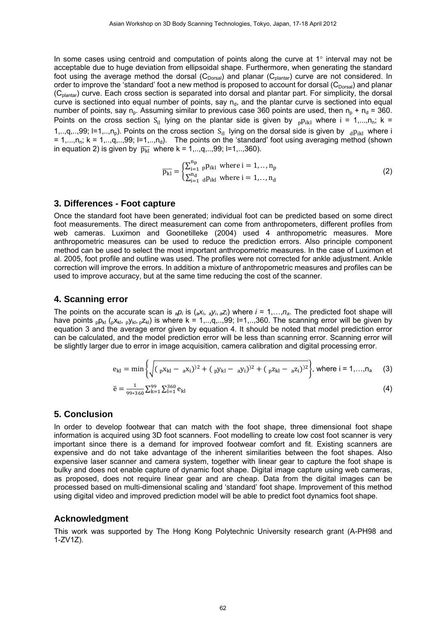In some cases using centroid and computation of points along the curve at  $1^\circ$  interval may not be acceptable due to huge deviation from ellipsoidal shape. Furthermore, when generating the standard foot using the average method the dorsal ( $C_{Dorsal}$ ) and planar ( $C_{plantar}$ ) curve are not considered. In order to improve the 'standard' foot a new method is proposed to account for dorsal ( $C_{Dorsal}$ ) and planar (Cplantar) curve. Each cross section is separated into dorsal and plantar part. For simplicity, the dorsal curve is sectioned into equal number of points, say  $n_d$ , and the plantar curve is sectioned into equal number of points, say  $n_p$ . Assuming similar to previous case 360 points are used, then  $n_p + n_d = 360$ . Points on the cross section S<sub>il</sub> lying on the plantar side is given by  $p_{ikl}$  where i = 1,...,n<sub>n</sub>; k = 1,..,q,..,99; I=1,..,n<sub>p</sub>). Points on the cross section S<sub>il</sub> lying on the dorsal side is given by  $_{d}P_{ikl}$  where i = 1,...,n<sub>n</sub>; k = 1,..,q,..,99; l=1,..,n<sub>d</sub>). The points on the 'standard' foot using averaging method (shown in equation 2) is given by  $\overline{p_{kl}}$  where k = 1,..,q,..,99; l=1,..,360).

$$
\overline{p}_{kl} = \begin{cases} \sum_{i=1}^{n_p} p_{ikl} & \text{where } i = 1, \dots, n_p \\ \sum_{i=1}^{n_d} d_{l} p_{ikl} & \text{where } i = 1, \dots, n_d \end{cases}
$$
(2)

### **3. Differences - Foot capture**

Once the standard foot have been generated; individual foot can be predicted based on some direct foot measurements. The direct measurement can come from anthropometers, different profiles from web cameras. Luximon and Goonetilleke (2004) used 4 anthropometric measures. More anthropometric measures can be used to reduce the prediction errors. Also principle component method can be used to select the most important anthropometric measures. In the case of Luximon et al. 2005, foot profile and outline was used. The profiles were not corrected for ankle adjustment. Ankle correction will improve the errors. In addition a mixture of anthropometric measures and profiles can be used to improve accuracy, but at the same time reducing the cost of the scanner.

### **4. Scanning error**

The points on the accurate scan is  $_{a}p_i$  is  $_{(a}x_i, a_iy_i, a_iz_i)$  where  $i = 1,...,n_a$ . The predicted foot shape will have points <sub>p</sub>p<sub>kl</sub> (<sub>p</sub>x<sub>kl</sub>, <sub>p</sub>y<sub>kl</sub>, <sub>p</sub>z<sub>kl</sub>) is where k = 1,..,q,..,99; l=1,..,360. The scanning error will be given by equation 3 and the average error given by equation 4. It should be noted that model prediction error can be calculated, and the model prediction error will be less than scanning error. Scanning error will be slightly larger due to error in image acquisition, camera calibration and digital processing error.

$$
e_{kl} = \min \left\{ \sqrt{(\, _p x_{kl} - _a x_i)^2 + (\, _p y_{kl} - _a y_i)^2 + (\, _p z_{kl} - _a z_i)^2} \right\}, \text{ where } i = 1, \dots, n_a \tag{3}
$$
\n
$$
\overline{e} = \frac{1}{99*360} \sum_{k=1}^{99} \sum_{l=1}^{360} e_{kl} \tag{4}
$$

## **5. Conclusion**

In order to develop footwear that can match with the foot shape, three dimensional foot shape information is acquired using 3D foot scanners. Foot modelling to create low cost foot scanner is very important since there is a demand for improved footwear comfort and fit. Existing scanners are expensive and do not take advantage of the inherent similarities between the foot shapes. Also expensive laser scanner and camera system, together with linear gear to capture the foot shape is bulky and does not enable capture of dynamic foot shape. Digital image capture using web cameras, as proposed, does not require linear gear and are cheap. Data from the digital images can be processed based on multi-dimensional scaling and 'standard' foot shape. Improvement of this method using digital video and improved prediction model will be able to predict foot dynamics foot shape.

#### **Acknowledgment**

This work was supported by The Hong Kong Polytechnic University research grant (A-PH98 and 1-ZV1Z).